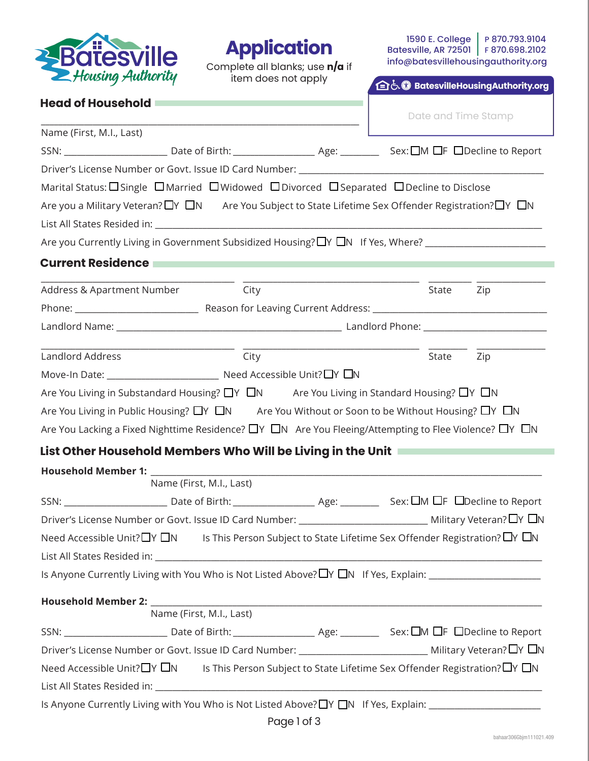

## **Application**

Complete all blanks; use **n/a** if item does not apply

1590 E. College | P 870.793.9104 Batesville, AR 72501 | F 870.698.2102 info@batesvillehousingauthority.org

**自占 DatesvilleHousingAuthority.org** 

| <b>Head of Household</b> |  |  |  |  |  |
|--------------------------|--|--|--|--|--|
|--------------------------|--|--|--|--|--|

|                                                                                                                                           |      |  | Date and Time Stamp |       |     |  |  |
|-------------------------------------------------------------------------------------------------------------------------------------------|------|--|---------------------|-------|-----|--|--|
| Name (First, M.I., Last)                                                                                                                  |      |  |                     |       |     |  |  |
|                                                                                                                                           |      |  |                     |       |     |  |  |
|                                                                                                                                           |      |  |                     |       |     |  |  |
| Marital Status: $\square$ Single $\square$ Married $\square$ Widowed $\square$ Divorced $\square$ Separated $\square$ Decline to Disclose |      |  |                     |       |     |  |  |
| Are you a Military Veteran? $\Box Y \Box N$ Are You Subject to State Lifetime Sex Offender Registration? $\Box Y \Box N$                  |      |  |                     |       |     |  |  |
|                                                                                                                                           |      |  |                     |       |     |  |  |
| Are you Currently Living in Government Subsidized Housing? □ Y □ N If Yes, Where? __________________                                      |      |  |                     |       |     |  |  |
| <b>Current Residence</b>                                                                                                                  |      |  |                     |       |     |  |  |
| Address & Apartment Number City                                                                                                           |      |  |                     | State | Zip |  |  |
|                                                                                                                                           |      |  |                     |       |     |  |  |
|                                                                                                                                           |      |  |                     |       |     |  |  |
| Landlord Address                                                                                                                          | City |  |                     | State |     |  |  |
|                                                                                                                                           |      |  |                     |       | Zip |  |  |
|                                                                                                                                           |      |  |                     |       |     |  |  |
| Are You Living in Substandard Housing? $\Box Y \Box N$ Are You Living in Standard Housing? $\Box Y \Box N$                                |      |  |                     |       |     |  |  |
| Are You Living in Public Housing? $\Box Y \Box N$ Are You Without or Soon to be Without Housing? $\Box Y \Box N$                          |      |  |                     |       |     |  |  |
| Are You Lacking a Fixed Nighttime Residence? $\Box$ Y $\Box$ N Are You Fleeing/Attempting to Flee Violence? $\Box$ Y $\Box$ N             |      |  |                     |       |     |  |  |
| List Other Household Members Who Will be Living in the Unit Nettle Conservation                                                           |      |  |                     |       |     |  |  |
| Household Member 1: ______                                                                                                                |      |  |                     |       |     |  |  |
| Name (First, M.I., Last)                                                                                                                  |      |  |                     |       |     |  |  |
|                                                                                                                                           |      |  |                     |       |     |  |  |
|                                                                                                                                           |      |  |                     |       |     |  |  |
| Need Accessible Unit? $\Box$ Y $\Box$ N Is This Person Subject to State Lifetime Sex Offender Registration? $\Box$ Y $\Box$ N             |      |  |                     |       |     |  |  |
|                                                                                                                                           |      |  |                     |       |     |  |  |
|                                                                                                                                           |      |  |                     |       |     |  |  |
| <b>Household Member 2:</b><br>Name (First, M.I., Last)                                                                                    |      |  |                     |       |     |  |  |
|                                                                                                                                           |      |  |                     |       |     |  |  |
|                                                                                                                                           |      |  |                     |       |     |  |  |
| Driver's License Number or Govt. Issue ID Card Number: ________________________________ Military Veteran? LY LN                           |      |  |                     |       |     |  |  |
| Need Accessible Unit?□Y □N Is This Person Subject to State Lifetime Sex Offender Registration?□Y □N                                       |      |  |                     |       |     |  |  |
|                                                                                                                                           |      |  |                     |       |     |  |  |
| Is Anyone Currently Living with You Who is Not Listed Above? TV TN If Yes, Explain: ______________________                                |      |  |                     |       |     |  |  |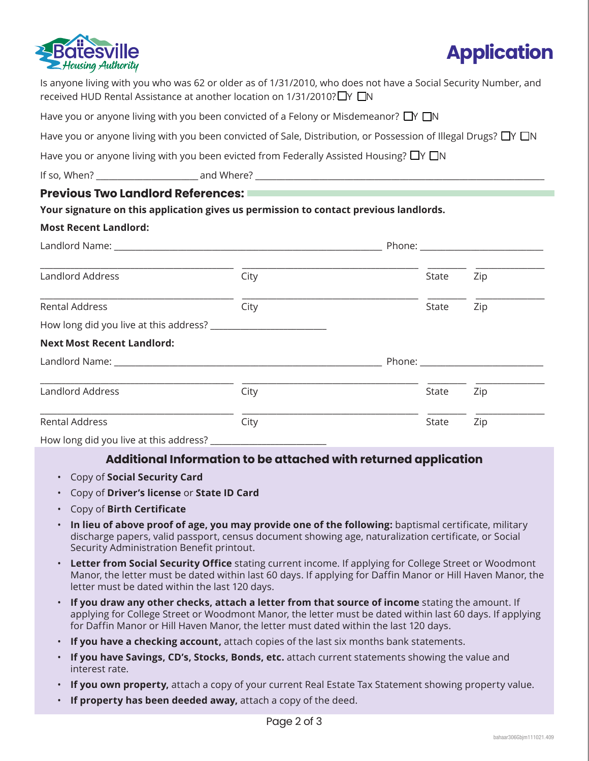



|                                          | Is anyone living with you who was 62 or older as of 1/31/2010, who does not have a Social Security Number, and<br>received HUD Rental Assistance at another location on 1/31/2010? IY IN |                                                                                                                |       |                                                                                                                |  |  |  |
|------------------------------------------|------------------------------------------------------------------------------------------------------------------------------------------------------------------------------------------|----------------------------------------------------------------------------------------------------------------|-------|----------------------------------------------------------------------------------------------------------------|--|--|--|
|                                          | Have you or anyone living with you been convicted of a Felony or Misdemeanor? $\Box Y \Box N$                                                                                            |                                                                                                                |       |                                                                                                                |  |  |  |
|                                          | Have you or anyone living with you been convicted of Sale, Distribution, or Possession of Illegal Drugs? $\Box$ Y $\Box$ N                                                               |                                                                                                                |       |                                                                                                                |  |  |  |
|                                          | Have you or anyone living with you been evicted from Federally Assisted Housing? $\Box$ Y $\Box$ N                                                                                       |                                                                                                                |       |                                                                                                                |  |  |  |
|                                          |                                                                                                                                                                                          |                                                                                                                |       |                                                                                                                |  |  |  |
| <b>Previous Two Landlord References:</b> |                                                                                                                                                                                          | a sa kacamatan ing Kabupatèn Kabupatèn Kabupatèn Kabupatèn Kabupatèn Kabupatèn Kabupatèn Kabupatèn Kabupatèn K |       |                                                                                                                |  |  |  |
|                                          | Your signature on this application gives us permission to contact previous landlords.                                                                                                    |                                                                                                                |       |                                                                                                                |  |  |  |
| <b>Most Recent Landlord:</b>             |                                                                                                                                                                                          |                                                                                                                |       |                                                                                                                |  |  |  |
|                                          |                                                                                                                                                                                          |                                                                                                                |       |                                                                                                                |  |  |  |
| Landlord Address                         | City                                                                                                                                                                                     |                                                                                                                | State | Zip                                                                                                            |  |  |  |
| <b>Rental Address</b>                    | City                                                                                                                                                                                     |                                                                                                                | State | Zip                                                                                                            |  |  |  |
|                                          |                                                                                                                                                                                          |                                                                                                                |       |                                                                                                                |  |  |  |
| <b>Next Most Recent Landlord:</b>        |                                                                                                                                                                                          |                                                                                                                |       |                                                                                                                |  |  |  |
|                                          | Landlord Name: Landlord Name: Landlord Name: Landlord Name: Landlord Name: Landlord Name: Landlord N                                                                                     |                                                                                                                |       | Phone: and the contract of the contract of the contract of the contract of the contract of the contract of the |  |  |  |
| Landlord Address                         | City                                                                                                                                                                                     |                                                                                                                | State | Zip                                                                                                            |  |  |  |
| <b>Rental Address</b>                    | City                                                                                                                                                                                     |                                                                                                                | State | Zip                                                                                                            |  |  |  |
| How long did you live at this address?   |                                                                                                                                                                                          |                                                                                                                |       |                                                                                                                |  |  |  |

## **Additional Information to be attached with returned application**

- Copy of **Social Security Card**
- Copy of **Driver's license** or **State ID Card**
- Copy of **Birth Certificate**
- **In lieu of above proof of age, you may provide one of the following:** baptismal certificate, military discharge papers, valid passport, census document showing age, naturalization certificate, or Social Security Administration Benefit printout.
- **Letter from Social Security Office** stating current income. If applying for College Street or Woodmont Manor, the letter must be dated within last 60 days. If applying for Daffin Manor or Hill Haven Manor, the letter must be dated within the last 120 days.
- **If you draw any other checks, attach a letter from that source of income** stating the amount. If applying for College Street or Woodmont Manor, the letter must be dated within last 60 days. If applying for Daffin Manor or Hill Haven Manor, the letter must dated within the last 120 days.
- **If you have a checking account,** attach copies of the last six months bank statements.
- **If you have Savings, CD's, Stocks, Bonds, etc.** attach current statements showing the value and interest rate.
- **If you own property,** attach a copy of your current Real Estate Tax Statement showing property value.
- **If property has been deeded away,** attach a copy of the deed.